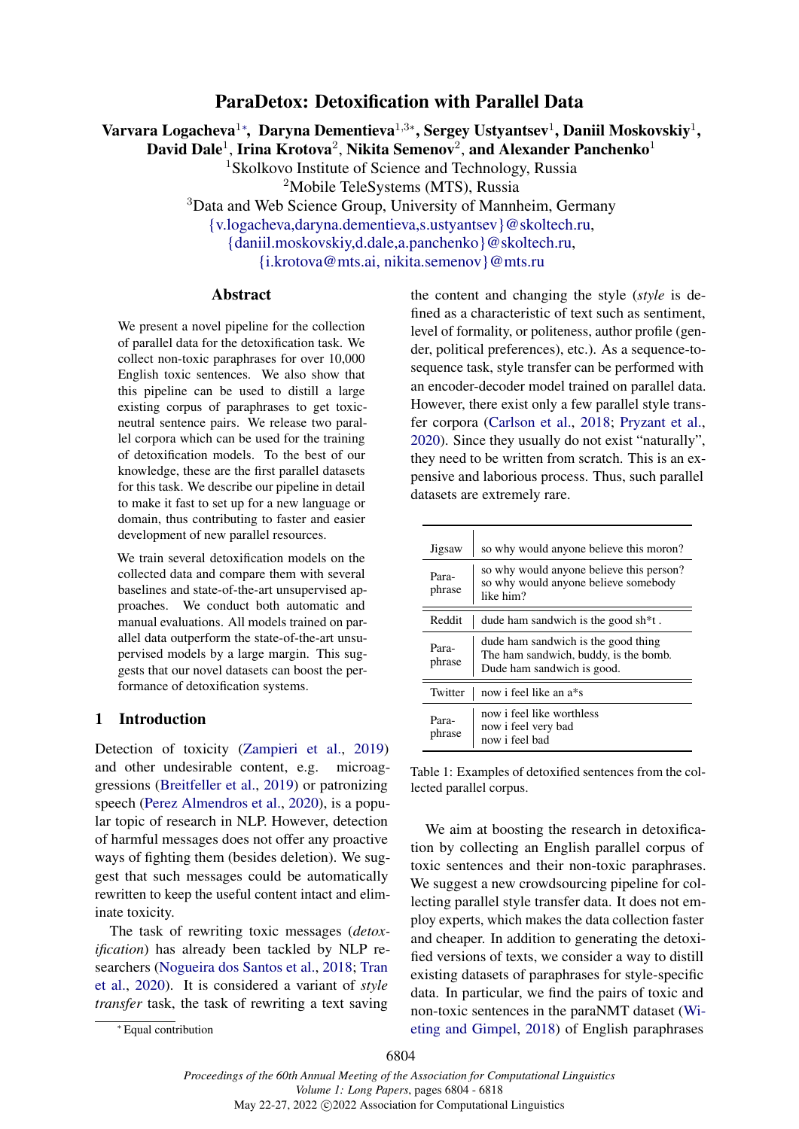## ParaDetox: Detoxification with Parallel Data

<span id="page-0-0"></span>Varvara Logacheva $^{1*}$  $^{1*}$  $^{1*}$ , Daryna Dementieva $^{1,3*}$ , Sergey Ustyantsev $^{1}$ , Daniil Moskovskiy $^{1},$ 

David Dale<sup>1</sup>, Irina Krotova<sup>2</sup>, Nikita Semenov<sup>2</sup>, and Alexander Panchenko<sup>1</sup>

<sup>1</sup>Skolkovo Institute of Science and Technology, Russia <sup>2</sup>Mobile TeleSystems (MTS), Russia

<sup>3</sup>Data and Web Science Group, University of Mannheim, Germany

[{v.logacheva,daryna.dementieva,s.ustyantsev}@skoltech.ru,](mailto:daryna.dementieva@skoltech.ru)

[{daniil.moskovskiy,d.dale,a.panchenko}@skoltech.ru,](mailto:a.panchenko@skoltech.ru)

[{i.krotova@mts.ai, nikita.semenov}@mts.ru](mailto:i.krotova@mts.ai)

### Abstract

We present a novel pipeline for the collection of parallel data for the detoxification task. We collect non-toxic paraphrases for over 10,000 English toxic sentences. We also show that this pipeline can be used to distill a large existing corpus of paraphrases to get toxicneutral sentence pairs. We release two parallel corpora which can be used for the training of detoxification models. To the best of our knowledge, these are the first parallel datasets for this task. We describe our pipeline in detail to make it fast to set up for a new language or domain, thus contributing to faster and easier development of new parallel resources.

We train several detoxification models on the collected data and compare them with several baselines and state-of-the-art unsupervised approaches. We conduct both automatic and manual evaluations. All models trained on parallel data outperform the state-of-the-art unsupervised models by a large margin. This suggests that our novel datasets can boost the performance of detoxification systems.

### 1 Introduction

Detection of toxicity [\(Zampieri et al.,](#page-11-0) [2019\)](#page-11-0) and other undesirable content, e.g. microaggressions [\(Breitfeller et al.,](#page-9-0) [2019\)](#page-9-0) or patronizing speech [\(Perez Almendros et al.,](#page-10-0) [2020\)](#page-10-0), is a popular topic of research in NLP. However, detection of harmful messages does not offer any proactive ways of fighting them (besides deletion). We suggest that such messages could be automatically rewritten to keep the useful content intact and eliminate toxicity.

The task of rewriting toxic messages (*detoxification*) has already been tackled by NLP researchers [\(Nogueira dos Santos et al.,](#page-10-1) [2018;](#page-10-1) [Tran](#page-10-2) [et al.,](#page-10-2) [2020\)](#page-10-2). It is considered a variant of *style transfer* task, the task of rewriting a text saving

the content and changing the style (*style* is defined as a characteristic of text such as sentiment, level of formality, or politeness, author profile (gender, political preferences), etc.). As a sequence-tosequence task, style transfer can be performed with an encoder-decoder model trained on parallel data. However, there exist only a few parallel style transfer corpora [\(Carlson et al.,](#page-9-1) [2018;](#page-9-1) [Pryzant et al.,](#page-10-3) [2020\)](#page-10-3). Since they usually do not exist "naturally", they need to be written from scratch. This is an expensive and laborious process. Thus, such parallel datasets are extremely rare.

<span id="page-0-1"></span>

| Jigsaw          | so why would anyone believe this moron?                                                                    |
|-----------------|------------------------------------------------------------------------------------------------------------|
| Para-<br>phrase | so why would anyone believe this person?<br>so why would anyone believe somebody<br>like him?              |
| Reddit          | dude ham sandwich is the good sh <sup>*</sup> t.                                                           |
| Para-<br>phrase | dude ham sandwich is the good thing<br>The ham sandwich, buddy, is the bomb.<br>Dude ham sandwich is good. |
| Twitter         | now i feel like an a*s                                                                                     |
| Para-<br>phrase | now i feel like worthless<br>now i feel very bad<br>now i feel had                                         |

Table 1: Examples of detoxified sentences from the collected parallel corpus.

We aim at boosting the research in detoxification by collecting an English parallel corpus of toxic sentences and their non-toxic paraphrases. We suggest a new crowdsourcing pipeline for collecting parallel style transfer data. It does not employ experts, which makes the data collection faster and cheaper. In addition to generating the detoxified versions of texts, we consider a way to distill existing datasets of paraphrases for style-specific data. In particular, we find the pairs of toxic and non-toxic sentences in the paraNMT dataset [\(Wi](#page-11-1)[eting and Gimpel,](#page-11-1) [2018\)](#page-11-1) of English paraphrases

<sup>∗</sup> Equal contribution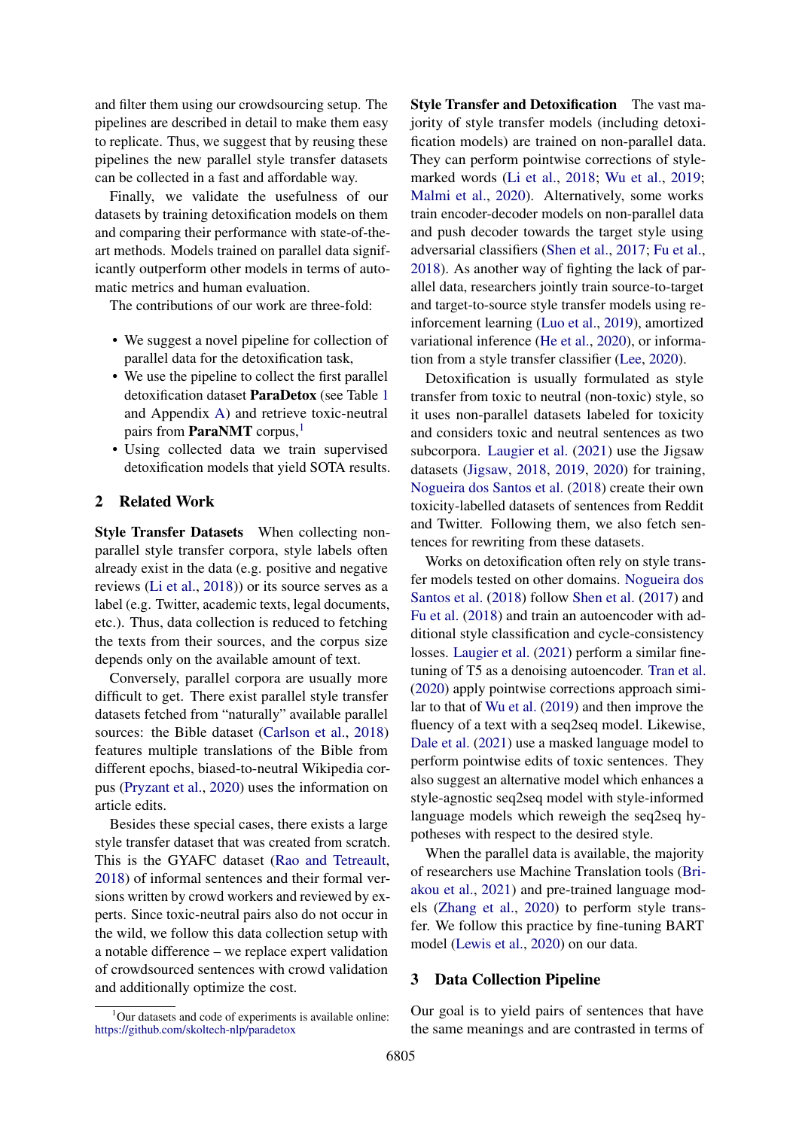and filter them using our crowdsourcing setup. The pipelines are described in detail to make them easy to replicate. Thus, we suggest that by reusing these pipelines the new parallel style transfer datasets can be collected in a fast and affordable way.

Finally, we validate the usefulness of our datasets by training detoxification models on them and comparing their performance with state-of-theart methods. Models trained on parallel data significantly outperform other models in terms of automatic metrics and human evaluation.

The contributions of our work are three-fold:

- We suggest a novel pipeline for collection of parallel data for the detoxification task,
- We use the pipeline to collect the first parallel detoxification dataset ParaDetox (see Table [1](#page-0-1) and Appendix [A\)](#page-12-0) and retrieve toxic-neutral pairs from **ParaNMT** corpus,<sup>[1](#page-1-0)</sup>
- Using collected data we train supervised detoxification models that yield SOTA results.

#### 2 Related Work

Style Transfer Datasets When collecting nonparallel style transfer corpora, style labels often already exist in the data (e.g. positive and negative reviews [\(Li et al.,](#page-10-4) [2018\)](#page-10-4)) or its source serves as a label (e.g. Twitter, academic texts, legal documents, etc.). Thus, data collection is reduced to fetching the texts from their sources, and the corpus size depends only on the available amount of text.

Conversely, parallel corpora are usually more difficult to get. There exist parallel style transfer datasets fetched from "naturally" available parallel sources: the Bible dataset [\(Carlson et al.,](#page-9-1) [2018\)](#page-9-1) features multiple translations of the Bible from different epochs, biased-to-neutral Wikipedia corpus [\(Pryzant et al.,](#page-10-3) [2020\)](#page-10-3) uses the information on article edits.

Besides these special cases, there exists a large style transfer dataset that was created from scratch. This is the GYAFC dataset [\(Rao and Tetreault,](#page-10-5) [2018\)](#page-10-5) of informal sentences and their formal versions written by crowd workers and reviewed by experts. Since toxic-neutral pairs also do not occur in the wild, we follow this data collection setup with a notable difference – we replace expert validation of crowdsourced sentences with crowd validation and additionally optimize the cost.

Style Transfer and Detoxification The vast majority of style transfer models (including detoxification models) are trained on non-parallel data. They can perform pointwise corrections of stylemarked words [\(Li et al.,](#page-10-4) [2018;](#page-10-4) [Wu et al.,](#page-11-2) [2019;](#page-11-2) [Malmi et al.,](#page-10-6) [2020\)](#page-10-6). Alternatively, some works train encoder-decoder models on non-parallel data and push decoder towards the target style using adversarial classifiers [\(Shen et al.,](#page-10-7) [2017;](#page-10-7) [Fu et al.,](#page-9-2) [2018\)](#page-9-2). As another way of fighting the lack of parallel data, researchers jointly train source-to-target and target-to-source style transfer models using reinforcement learning [\(Luo et al.,](#page-10-8) [2019\)](#page-10-8), amortized variational inference [\(He et al.,](#page-9-3) [2020\)](#page-9-3), or information from a style transfer classifier [\(Lee,](#page-10-9) [2020\)](#page-10-9).

Detoxification is usually formulated as style transfer from toxic to neutral (non-toxic) style, so it uses non-parallel datasets labeled for toxicity and considers toxic and neutral sentences as two subcorpora. [Laugier et al.](#page-10-10) [\(2021\)](#page-10-10) use the Jigsaw datasets [\(Jigsaw,](#page-9-4) [2018,](#page-9-4) [2019,](#page-9-5) [2020\)](#page-9-6) for training, [Nogueira dos Santos et al.](#page-10-1) [\(2018\)](#page-10-1) create their own toxicity-labelled datasets of sentences from Reddit and Twitter. Following them, we also fetch sentences for rewriting from these datasets.

Works on detoxification often rely on style transfer models tested on other domains. [Nogueira dos](#page-10-1) [Santos et al.](#page-10-1) [\(2018\)](#page-10-1) follow [Shen et al.](#page-10-7) [\(2017\)](#page-10-7) and [Fu et al.](#page-9-2) [\(2018\)](#page-9-2) and train an autoencoder with additional style classification and cycle-consistency losses. [Laugier et al.](#page-10-10) [\(2021\)](#page-10-10) perform a similar finetuning of T5 as a denoising autoencoder. [Tran et al.](#page-10-2) [\(2020\)](#page-10-2) apply pointwise corrections approach similar to that of [Wu et al.](#page-11-2) [\(2019\)](#page-11-2) and then improve the fluency of a text with a seq2seq model. Likewise, [Dale et al.](#page-9-7) [\(2021\)](#page-9-7) use a masked language model to perform pointwise edits of toxic sentences. They also suggest an alternative model which enhances a style-agnostic seq2seq model with style-informed language models which reweigh the seq2seq hypotheses with respect to the desired style.

When the parallel data is available, the majority of researchers use Machine Translation tools [\(Bri](#page-9-8)[akou et al.,](#page-9-8) [2021\)](#page-9-8) and pre-trained language models [\(Zhang et al.,](#page-11-3) [2020\)](#page-11-3) to perform style transfer. We follow this practice by fine-tuning BART model [\(Lewis et al.,](#page-10-11) [2020\)](#page-10-11) on our data.

#### 3 Data Collection Pipeline

Our goal is to yield pairs of sentences that have the same meanings and are contrasted in terms of

<span id="page-1-0"></span><sup>&</sup>lt;sup>1</sup>Our datasets and code of experiments is available online: <https://github.com/skoltech-nlp/paradetox>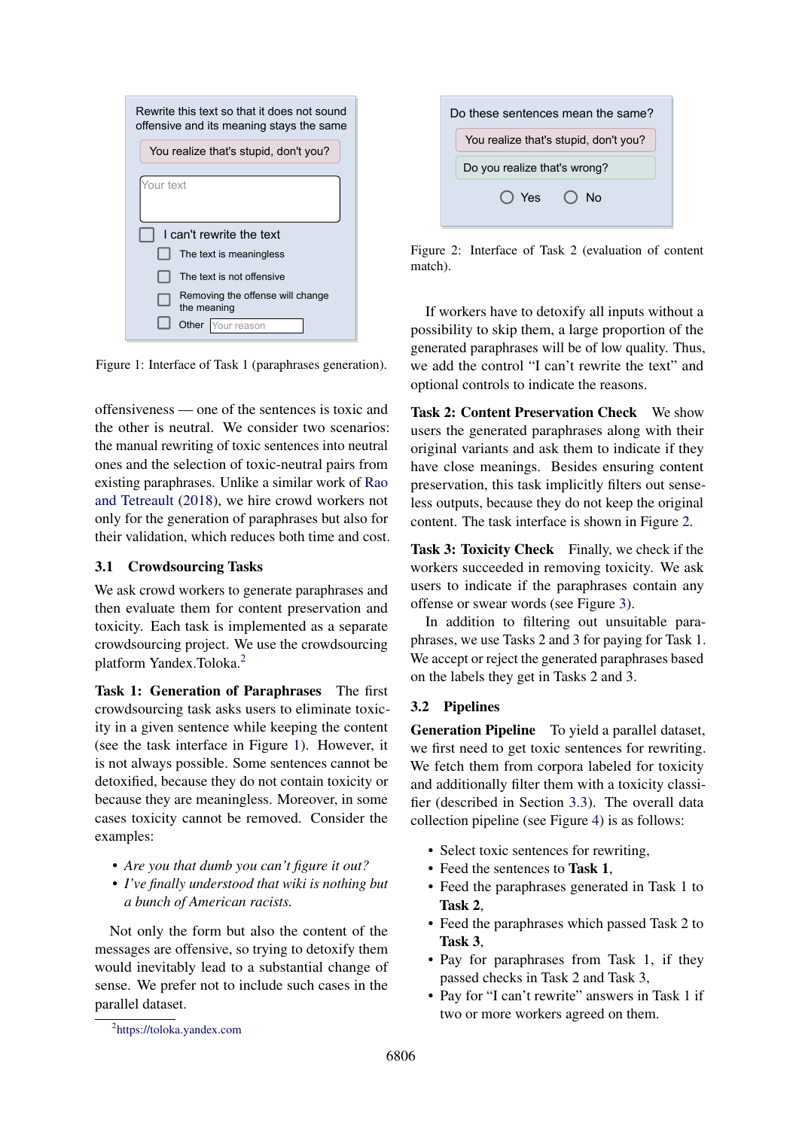<span id="page-2-1"></span>

| Rewrite this text so that it does not sound<br>offensive and its meaning stays the same |  |  |  |
|-----------------------------------------------------------------------------------------|--|--|--|
| You realize that's stupid, don't you?                                                   |  |  |  |
| Your text                                                                               |  |  |  |
| I can't rewrite the text                                                                |  |  |  |
| The text is meaningless                                                                 |  |  |  |
| The text is not offensive                                                               |  |  |  |
| Removing the offense will change<br>the meaning                                         |  |  |  |
| ur reason<br>Other                                                                      |  |  |  |

Figure 1: Interface of Task 1 (paraphrases generation).

offensiveness — one of the sentences is toxic and the other is neutral. We consider two scenarios: the manual rewriting of toxic sentences into neutral ones and the selection of toxic-neutral pairs from existing paraphrases. Unlike a similar work of [Rao](#page-10-5) [and Tetreault](#page-10-5) [\(2018\)](#page-10-5), we hire crowd workers not only for the generation of paraphrases but also for their validation, which reduces both time and cost.

### 3.1 Crowdsourcing Tasks

We ask crowd workers to generate paraphrases and then evaluate them for content preservation and toxicity. Each task is implemented as a separate crowdsourcing project. We use the crowdsourcing platform Yandex.Toloka.[2](#page-2-0)

Task 1: Generation of Paraphrases The first crowdsourcing task asks users to eliminate toxicity in a given sentence while keeping the content (see the task interface in Figure [1\)](#page-2-1). However, it is not always possible. Some sentences cannot be detoxified, because they do not contain toxicity or because they are meaningless. Moreover, in some cases toxicity cannot be removed. Consider the examples:

- *Are you that dumb you can't figure it out?*
- *I've finally understood that wiki is nothing but a bunch of American racists.*

Not only the form but also the content of the messages are offensive, so trying to detoxify them would inevitably lead to a substantial change of sense. We prefer not to include such cases in the parallel dataset.

<span id="page-2-2"></span>

| Do these sentences mean the same?     |  |  |  |  |
|---------------------------------------|--|--|--|--|
| You realize that's stupid, don't you? |  |  |  |  |
| Do you realize that's wrong?          |  |  |  |  |
| $\bigcap$ Yes $\bigcap$<br>Nο         |  |  |  |  |
|                                       |  |  |  |  |

Figure 2: Interface of Task 2 (evaluation of content match).

If workers have to detoxify all inputs without a possibility to skip them, a large proportion of the generated paraphrases will be of low quality. Thus, we add the control "I can't rewrite the text" and optional controls to indicate the reasons.

Task 2: Content Preservation Check We show users the generated paraphrases along with their original variants and ask them to indicate if they have close meanings. Besides ensuring content preservation, this task implicitly filters out senseless outputs, because they do not keep the original content. The task interface is shown in Figure [2.](#page-2-2)

Task 3: Toxicity Check Finally, we check if the workers succeeded in removing toxicity. We ask users to indicate if the paraphrases contain any offense or swear words (see Figure [3\)](#page-3-0).

In addition to filtering out unsuitable paraphrases, we use Tasks 2 and 3 for paying for Task 1. We accept or reject the generated paraphrases based on the labels they get in Tasks 2 and 3.

### 3.2 Pipelines

Generation Pipeline To yield a parallel dataset, we first need to get toxic sentences for rewriting. We fetch them from corpora labeled for toxicity and additionally filter them with a toxicity classifier (described in Section [3.3\)](#page-3-1). The overall data collection pipeline (see Figure [4\)](#page-4-0) is as follows:

- Select toxic sentences for rewriting,
- Feed the sentences to Task 1,
- Feed the paraphrases generated in Task 1 to Task 2,
- Feed the paraphrases which passed Task 2 to Task 3,
- Pay for paraphrases from Task 1, if they passed checks in Task 2 and Task 3,
- Pay for "I can't rewrite" answers in Task 1 if two or more workers agreed on them.

<span id="page-2-0"></span><sup>2</sup> <https://toloka.yandex.com>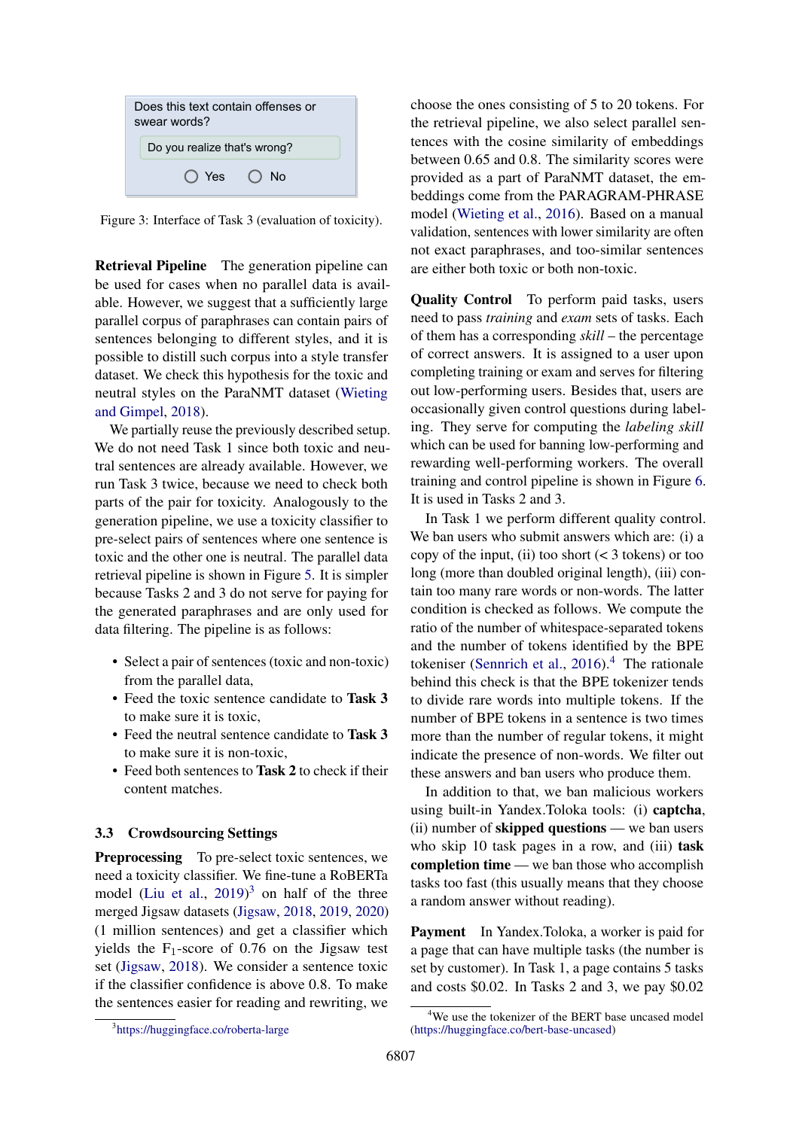<span id="page-3-0"></span>

Figure 3: Interface of Task 3 (evaluation of toxicity).

Retrieval Pipeline The generation pipeline can be used for cases when no parallel data is available. However, we suggest that a sufficiently large parallel corpus of paraphrases can contain pairs of sentences belonging to different styles, and it is possible to distill such corpus into a style transfer dataset. We check this hypothesis for the toxic and neutral styles on the ParaNMT dataset [\(Wieting](#page-11-1) [and Gimpel,](#page-11-1) [2018\)](#page-11-1).

We partially reuse the previously described setup. We do not need Task 1 since both toxic and neutral sentences are already available. However, we run Task 3 twice, because we need to check both parts of the pair for toxicity. Analogously to the generation pipeline, we use a toxicity classifier to pre-select pairs of sentences where one sentence is toxic and the other one is neutral. The parallel data retrieval pipeline is shown in Figure [5.](#page-4-1) It is simpler because Tasks 2 and 3 do not serve for paying for the generated paraphrases and are only used for data filtering. The pipeline is as follows:

- Select a pair of sentences (toxic and non-toxic) from the parallel data,
- Feed the toxic sentence candidate to Task 3 to make sure it is toxic,
- Feed the neutral sentence candidate to Task 3 to make sure it is non-toxic,
- Feed both sentences to Task 2 to check if their content matches.

### <span id="page-3-1"></span>3.3 Crowdsourcing Settings

Preprocessing To pre-select toxic sentences, we need a toxicity classifier. We fine-tune a RoBERTa model [\(Liu et al.,](#page-10-12)  $2019$ )<sup>[3](#page-3-2)</sup> on half of the three merged Jigsaw datasets [\(Jigsaw,](#page-9-4) [2018,](#page-9-4) [2019,](#page-9-5) [2020\)](#page-9-6) (1 million sentences) and get a classifier which yields the  $F_1$ -score of 0.76 on the Jigsaw test set [\(Jigsaw,](#page-9-4) [2018\)](#page-9-4). We consider a sentence toxic if the classifier confidence is above 0.8. To make the sentences easier for reading and rewriting, we choose the ones consisting of 5 to 20 tokens. For the retrieval pipeline, we also select parallel sentences with the cosine similarity of embeddings between 0.65 and 0.8. The similarity scores were provided as a part of ParaNMT dataset, the embeddings come from the PARAGRAM-PHRASE model [\(Wieting et al.,](#page-10-13) [2016\)](#page-10-13). Based on a manual validation, sentences with lower similarity are often not exact paraphrases, and too-similar sentences are either both toxic or both non-toxic.

Quality Control To perform paid tasks, users need to pass *training* and *exam* sets of tasks. Each of them has a corresponding *skill* – the percentage of correct answers. It is assigned to a user upon completing training or exam and serves for filtering out low-performing users. Besides that, users are occasionally given control questions during labeling. They serve for computing the *labeling skill* which can be used for banning low-performing and rewarding well-performing workers. The overall training and control pipeline is shown in Figure [6.](#page-4-2) It is used in Tasks 2 and 3.

In Task 1 we perform different quality control. We ban users who submit answers which are: (i) a copy of the input, (ii) too short  $(< 3$  tokens) or too long (more than doubled original length), (iii) contain too many rare words or non-words. The latter condition is checked as follows. We compute the ratio of the number of whitespace-separated tokens and the number of tokens identified by the BPE tokeniser [\(Sennrich et al.,](#page-10-14)  $2016$ ).<sup>[4](#page-3-3)</sup> The rationale behind this check is that the BPE tokenizer tends to divide rare words into multiple tokens. If the number of BPE tokens in a sentence is two times more than the number of regular tokens, it might indicate the presence of non-words. We filter out these answers and ban users who produce them.

In addition to that, we ban malicious workers using built-in Yandex.Toloka tools: (i) captcha, (ii) number of skipped questions — we ban users who skip 10 task pages in a row, and (iii) **task** completion time — we ban those who accomplish tasks too fast (this usually means that they choose a random answer without reading).

Payment In Yandex.Toloka, a worker is paid for a page that can have multiple tasks (the number is set by customer). In Task 1, a page contains 5 tasks and costs \$0.02. In Tasks 2 and 3, we pay \$0.02

<span id="page-3-2"></span><sup>3</sup> <https://huggingface.co/roberta-large>

<span id="page-3-3"></span><sup>&</sup>lt;sup>4</sup>We use the tokenizer of the BERT base uncased model [\(https://huggingface.co/bert-base-uncased\)](https://huggingface.co/bert-base-uncased)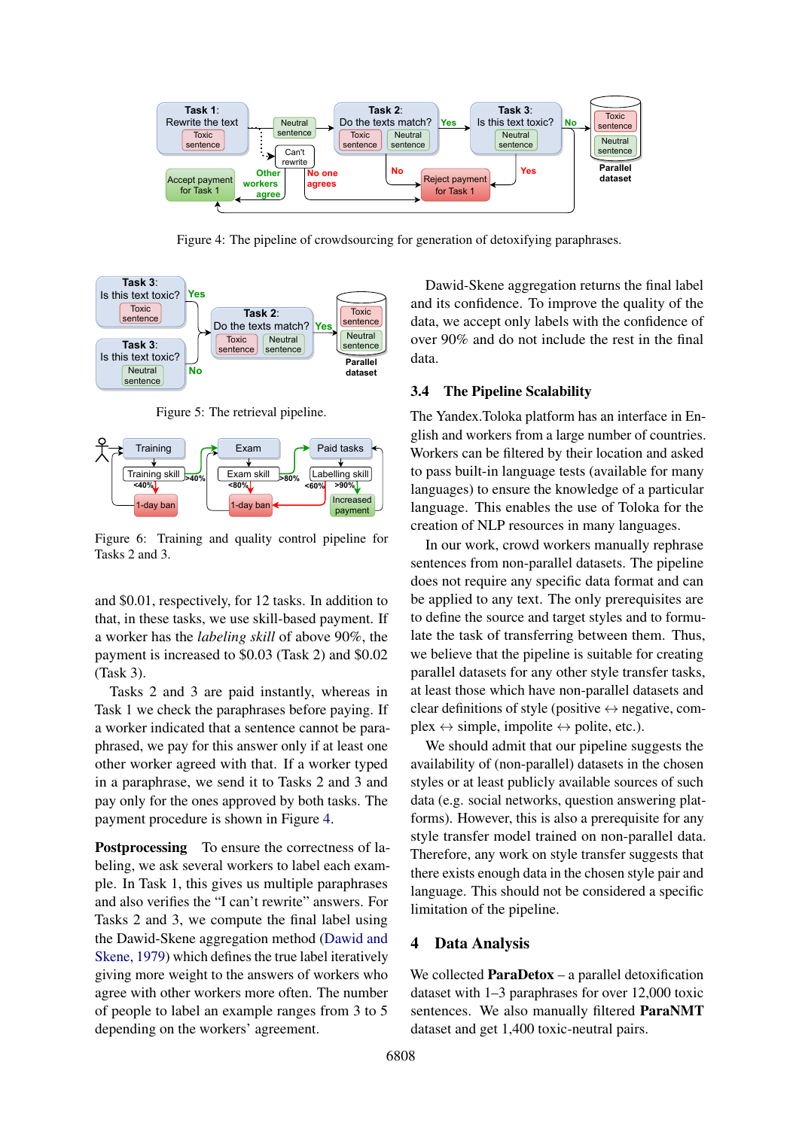<span id="page-4-0"></span>

Figure 4: The pipeline of crowdsourcing for generation of detoxifying paraphrases.

<span id="page-4-1"></span>

Figure 5: The retrieval pipeline.

<span id="page-4-2"></span>

Figure 6: Training and quality control pipeline for Tasks 2 and 3.

and \$0.01, respectively, for 12 tasks. In addition to that, in these tasks, we use skill-based payment. If a worker has the *labeling skill* of above 90%, the payment is increased to \$0.03 (Task 2) and \$0.02 (Task 3).

Tasks 2 and 3 are paid instantly, whereas in Task 1 we check the paraphrases before paying. If a worker indicated that a sentence cannot be paraphrased, we pay for this answer only if at least one other worker agreed with that. If a worker typed in a paraphrase, we send it to Tasks 2 and 3 and pay only for the ones approved by both tasks. The payment procedure is shown in Figure [4.](#page-4-0)

Postprocessing To ensure the correctness of labeling, we ask several workers to label each example. In Task 1, this gives us multiple paraphrases and also verifies the "I can't rewrite" answers. For Tasks 2 and 3, we compute the final label using the Dawid-Skene aggregation method [\(Dawid and](#page-9-9) [Skene,](#page-9-9) [1979\)](#page-9-9) which defines the true label iteratively giving more weight to the answers of workers who agree with other workers more often. The number of people to label an example ranges from 3 to 5 depending on the workers' agreement.

Dawid-Skene aggregation returns the final label and its confidence. To improve the quality of the data, we accept only labels with the confidence of over 90% and do not include the rest in the final data.

#### 3.4 The Pipeline Scalability

The Yandex.Toloka platform has an interface in English and workers from a large number of countries. Workers can be filtered by their location and asked to pass built-in language tests (available for many languages) to ensure the knowledge of a particular language. This enables the use of Toloka for the creation of NLP resources in many languages.

In our work, crowd workers manually rephrase sentences from non-parallel datasets. The pipeline does not require any specific data format and can be applied to any text. The only prerequisites are to define the source and target styles and to formulate the task of transferring between them. Thus, we believe that the pipeline is suitable for creating parallel datasets for any other style transfer tasks, at least those which have non-parallel datasets and clear definitions of style (positive  $\leftrightarrow$  negative, com $plex \leftrightarrow simple$ , impolite  $\leftrightarrow$  polite, etc.).

We should admit that our pipeline suggests the availability of (non-parallel) datasets in the chosen styles or at least publicly available sources of such data (e.g. social networks, question answering platforms). However, this is also a prerequisite for any style transfer model trained on non-parallel data. Therefore, any work on style transfer suggests that there exists enough data in the chosen style pair and language. This should not be considered a specific limitation of the pipeline.

#### 4 Data Analysis

We collected **ParaDetox** – a parallel detoxification dataset with 1–3 paraphrases for over 12,000 toxic sentences. We also manually filtered ParaNMT dataset and get 1,400 toxic-neutral pairs.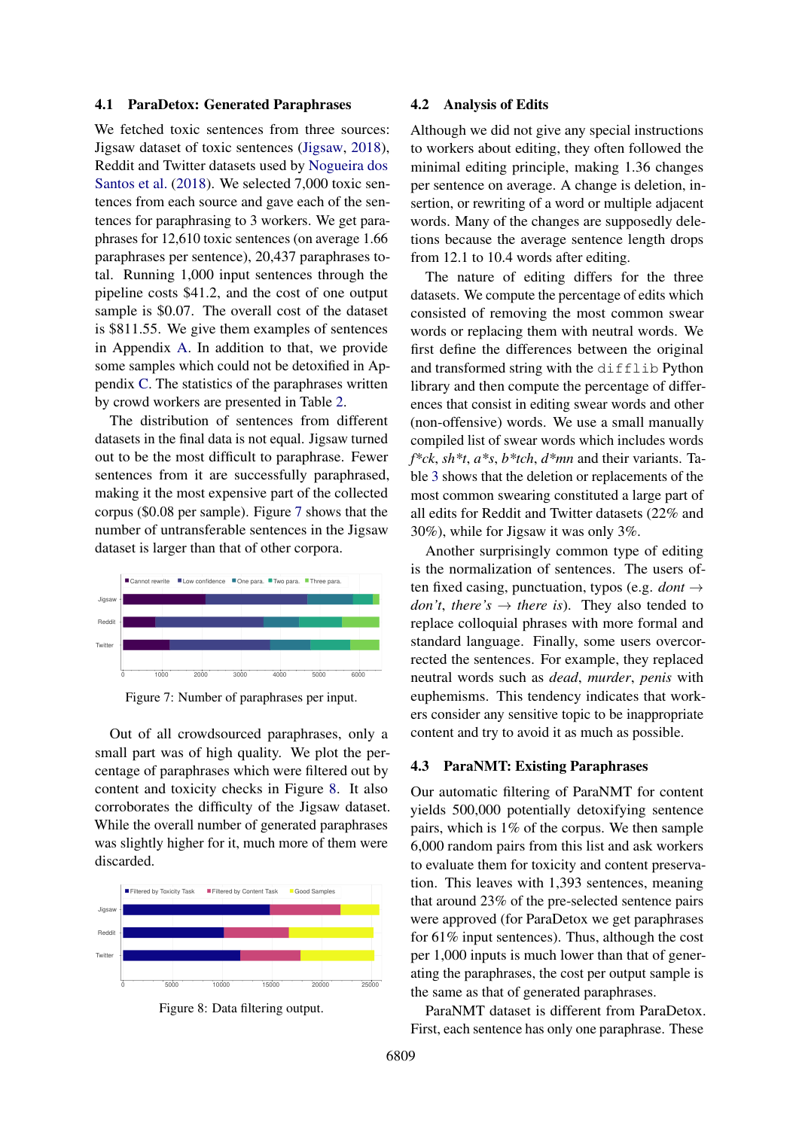#### 4.1 ParaDetox: Generated Paraphrases

We fetched toxic sentences from three sources: Jigsaw dataset of toxic sentences [\(Jigsaw,](#page-9-4) [2018\)](#page-9-4), Reddit and Twitter datasets used by [Nogueira dos](#page-10-1) [Santos et al.](#page-10-1) [\(2018\)](#page-10-1). We selected 7,000 toxic sentences from each source and gave each of the sentences for paraphrasing to 3 workers. We get paraphrases for 12,610 toxic sentences (on average 1.66 paraphrases per sentence), 20,437 paraphrases total. Running 1,000 input sentences through the pipeline costs \$41.2, and the cost of one output sample is \$0.07. The overall cost of the dataset is \$811.55. We give them examples of sentences in Appendix [A.](#page-12-0) In addition to that, we provide some samples which could not be detoxified in Appendix [C.](#page-14-0) The statistics of the paraphrases written by crowd workers are presented in Table [2.](#page-6-0)

The distribution of sentences from different datasets in the final data is not equal. Jigsaw turned out to be the most difficult to paraphrase. Fewer sentences from it are successfully paraphrased, making it the most expensive part of the collected corpus (\$0.08 per sample). Figure [7](#page-5-0) shows that the number of untransferable sentences in the Jigsaw dataset is larger than that of other corpora.

<span id="page-5-0"></span>

Figure 7: Number of paraphrases per input.

Out of all crowdsourced paraphrases, only a small part was of high quality. We plot the percentage of paraphrases which were filtered out by content and toxicity checks in Figure [8.](#page-5-1) It also corroborates the difficulty of the Jigsaw dataset. While the overall number of generated paraphrases was slightly higher for it, much more of them were discarded.

<span id="page-5-1"></span>

Figure 8: Data filtering output.

#### 4.2 Analysis of Edits

Although we did not give any special instructions to workers about editing, they often followed the minimal editing principle, making 1.36 changes per sentence on average. A change is deletion, insertion, or rewriting of a word or multiple adjacent words. Many of the changes are supposedly deletions because the average sentence length drops from 12.1 to 10.4 words after editing.

The nature of editing differs for the three datasets. We compute the percentage of edits which consisted of removing the most common swear words or replacing them with neutral words. We first define the differences between the original and transformed string with the difflib Python library and then compute the percentage of differences that consist in editing swear words and other (non-offensive) words. We use a small manually compiled list of swear words which includes words *f\*ck*, *sh\*t*, *a\*s*, *b\*tch*, *d\*mn* and their variants. Table [3](#page-6-1) shows that the deletion or replacements of the most common swearing constituted a large part of all edits for Reddit and Twitter datasets (22% and 30%), while for Jigsaw it was only 3%.

Another surprisingly common type of editing is the normalization of sentences. The users often fixed casing, punctuation, typos (e.g. *dont* → *don't, there's*  $\rightarrow$  *there is*). They also tended to replace colloquial phrases with more formal and standard language. Finally, some users overcorrected the sentences. For example, they replaced neutral words such as *dead*, *murder*, *penis* with euphemisms. This tendency indicates that workers consider any sensitive topic to be inappropriate content and try to avoid it as much as possible.

#### 4.3 ParaNMT: Existing Paraphrases

Our automatic filtering of ParaNMT for content yields 500,000 potentially detoxifying sentence pairs, which is 1% of the corpus. We then sample 6,000 random pairs from this list and ask workers to evaluate them for toxicity and content preservation. This leaves with 1,393 sentences, meaning that around 23% of the pre-selected sentence pairs were approved (for ParaDetox we get paraphrases for 61% input sentences). Thus, although the cost per 1,000 inputs is much lower than that of generating the paraphrases, the cost per output sample is the same as that of generated paraphrases.

ParaNMT dataset is different from ParaDetox. First, each sentence has only one paraphrase. These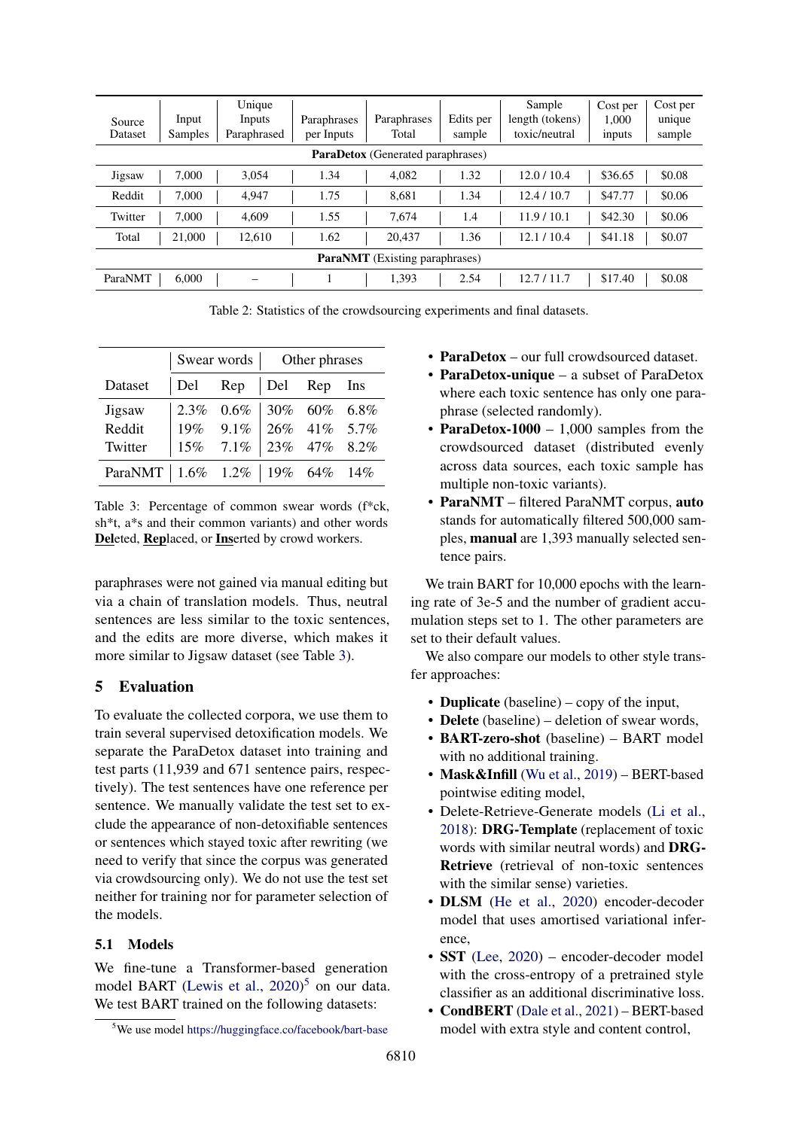<span id="page-6-0"></span>

| Source<br>Dataset              | Input<br><b>Samples</b> | Unique<br>Inputs<br>Paraphrased | Paraphrases<br>per Inputs | Paraphrases<br>Total                     | Edits per<br>sample | Sample<br>length (tokens)<br>toxic/neutral | Cost per<br>1.000<br>inputs | Cost per<br>unique<br>sample |
|--------------------------------|-------------------------|---------------------------------|---------------------------|------------------------------------------|---------------------|--------------------------------------------|-----------------------------|------------------------------|
|                                |                         |                                 |                           | <b>ParaDetox</b> (Generated paraphrases) |                     |                                            |                             |                              |
| Jigsaw                         | 7.000                   | 3.054                           | 1.34                      | 4.082                                    | 1.32                | 12.0/10.4                                  | \$36.65                     | \$0.08                       |
| Reddit                         | 7.000                   | 4.947                           | 1.75                      | 8.681                                    | 1.34                | 12.4/10.7                                  | \$47.77                     | \$0.06                       |
| Twitter                        | 7.000                   | 4.609                           | 1.55                      | 7.674                                    | 1.4                 | 11.9/10.1                                  | \$42.30                     | \$0.06                       |
| Total                          | 21,000                  | 12.610                          | 1.62                      | 20.437                                   | 1.36                | 12.1 / 10.4                                | \$41.18                     | \$0.07                       |
| ParaNMT (Existing paraphrases) |                         |                                 |                           |                                          |                     |                                            |                             |                              |
| ParaNMT                        | 6.000                   |                                 |                           | 1,393                                    | 2.54                | 12.7/11.7                                  | \$17.40                     | \$0.08                       |

Table 2: Statistics of the crowdsourcing experiments and final datasets.

<span id="page-6-1"></span>

|                                   | Swear words   Other phrases |                                                                                                                                                          |  |  |  |
|-----------------------------------|-----------------------------|----------------------------------------------------------------------------------------------------------------------------------------------------------|--|--|--|
| Dataset                           |                             | $ $ Del Rep $ $ Del Rep Ins                                                                                                                              |  |  |  |
| Jigsaw                            |                             | $\begin{array}{ l cccc } 2.3\% & 0.6\% & 30\% & 60\% & 6.8\% \\ 19\% & 9.1\% & 26\% & 41\% & 5.7\% \\ 15\% & 7.1\% & 23\% & 47\% & 8.2\% \\ \end{array}$ |  |  |  |
| Reddit                            |                             |                                                                                                                                                          |  |  |  |
| Twitter                           |                             |                                                                                                                                                          |  |  |  |
| ParaNMT   1.6% 1.2%   19% 64% 14% |                             |                                                                                                                                                          |  |  |  |

Table 3: Percentage of common swear words (f\*ck, sh\*t, a\*s and their common variants) and other words Deleted, Replaced, or Inserted by crowd workers.

paraphrases were not gained via manual editing but via a chain of translation models. Thus, neutral sentences are less similar to the toxic sentences, and the edits are more diverse, which makes it more similar to Jigsaw dataset (see Table [3\)](#page-6-1).

## 5 Evaluation

To evaluate the collected corpora, we use them to train several supervised detoxification models. We separate the ParaDetox dataset into training and test parts (11,939 and 671 sentence pairs, respectively). The test sentences have one reference per sentence. We manually validate the test set to exclude the appearance of non-detoxifiable sentences or sentences which stayed toxic after rewriting (we need to verify that since the corpus was generated via crowdsourcing only). We do not use the test set neither for training nor for parameter selection of the models.

### 5.1 Models

We fine-tune a Transformer-based generation model BART [\(Lewis et al.,](#page-10-11) [2020\)](#page-10-11) [5](#page-6-2) on our data. We test BART trained on the following datasets:

- ParaDetox our full crowdsourced dataset.
- ParaDetox-unique a subset of ParaDetox where each toxic sentence has only one paraphrase (selected randomly).
- ParaDetox-1000 1,000 samples from the crowdsourced dataset (distributed evenly across data sources, each toxic sample has multiple non-toxic variants).
- ParaNMT filtered ParaNMT corpus, auto stands for automatically filtered 500,000 samples, manual are 1,393 manually selected sentence pairs.

We train BART for 10,000 epochs with the learning rate of 3e-5 and the number of gradient accumulation steps set to 1. The other parameters are set to their default values.

We also compare our models to other style transfer approaches:

- Duplicate (baseline) copy of the input,
- Delete (baseline) deletion of swear words,
- BART-zero-shot (baseline) BART model with no additional training.
- Mask&Infill [\(Wu et al.,](#page-11-2) [2019\)](#page-11-2) BERT-based pointwise editing model,
- Delete-Retrieve-Generate models [\(Li et al.,](#page-10-4) [2018\)](#page-10-4): DRG-Template (replacement of toxic words with similar neutral words) and DRG-Retrieve (retrieval of non-toxic sentences with the similar sense) varieties.
- DLSM [\(He et al.,](#page-9-3) [2020\)](#page-9-3) encoder-decoder model that uses amortised variational inference,
- SST [\(Lee,](#page-10-9) [2020\)](#page-10-9) encoder-decoder model with the cross-entropy of a pretrained style classifier as an additional discriminative loss.
- CondBERT [\(Dale et al.,](#page-9-7) [2021\)](#page-9-7) BERT-based model with extra style and content control,

<span id="page-6-2"></span><sup>&</sup>lt;sup>5</sup>We use model <https://huggingface.co/facebook/bart-base>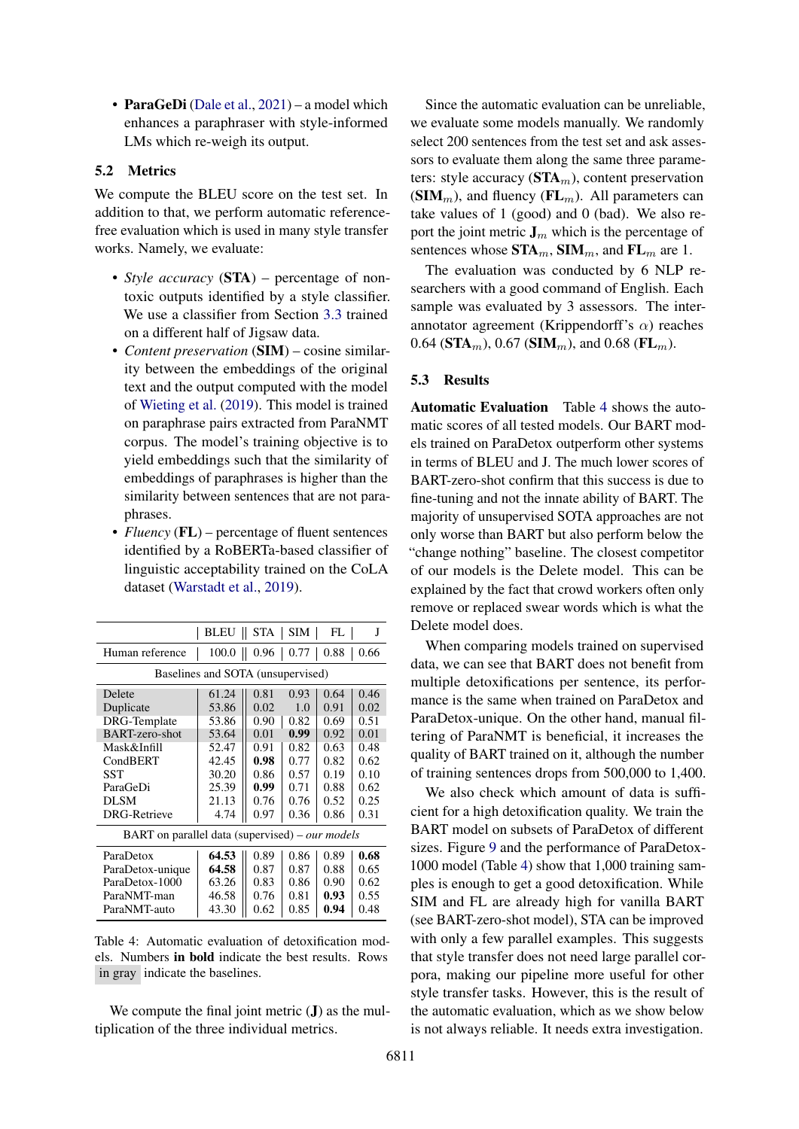• ParaGeDi [\(Dale et al.,](#page-9-7) [2021\)](#page-9-7) – a model which enhances a paraphraser with style-informed LMs which re-weigh its output.

#### 5.2 Metrics

We compute the BLEU score on the test set. In addition to that, we perform automatic referencefree evaluation which is used in many style transfer works. Namely, we evaluate:

- *Style accuracy* (**STA**) percentage of nontoxic outputs identified by a style classifier. We use a classifier from Section [3.3](#page-3-1) trained on a different half of Jigsaw data.
- *Content preservation* (SIM) cosine similarity between the embeddings of the original text and the output computed with the model of [Wieting et al.](#page-11-4) [\(2019\)](#page-11-4). This model is trained on paraphrase pairs extracted from ParaNMT corpus. The model's training objective is to yield embeddings such that the similarity of embeddings of paraphrases is higher than the similarity between sentences that are not paraphrases.
- *Fluency* (**FL**) percentage of fluent sentences identified by a RoBERTa-based classifier of linguistic acceptability trained on the CoLA dataset [\(Warstadt et al.,](#page-10-15) [2019\)](#page-10-15).

<span id="page-7-0"></span>

|                                                 | BLEU                              | STA       | SIM  | FL   | J    |
|-------------------------------------------------|-----------------------------------|-----------|------|------|------|
| Human reference                                 | 100.0                             | 0.96<br>Ш | 0.77 | 0.88 | 0.66 |
|                                                 | Baselines and SOTA (unsupervised) |           |      |      |      |
| Delete                                          | 61.24                             | 0.81      | 0.93 | 0.64 | 0.46 |
| Duplicate                                       | 53.86                             | 0.02      | 1.0  | 0.91 | 0.02 |
| DRG-Template                                    | 53.86                             | 0.90      | 0.82 | 0.69 | 0.51 |
| BART-zero-shot                                  | 53.64                             | 0.01      | 0.99 | 0.92 | 0.01 |
| Mask&Infill                                     | 52.47                             | 0.91      | 0.82 | 0.63 | 0.48 |
| CondBERT                                        | 42.45                             | 0.98      | 0.77 | 0.82 | 0.62 |
| SST                                             | 30.20                             | 0.86      | 0.57 | 0.19 | 0.10 |
| ParaGeDi                                        | 25.39                             | 0.99      | 0.71 | 0.88 | 0.62 |
| <b>DLSM</b>                                     | 21.13                             | 0.76      | 0.76 | 0.52 | 0.25 |
| <b>DRG-Retrieve</b>                             | 4.74                              | 0.97      | 0.36 | 0.86 | 0.31 |
| BART on parallel data (supervised) – our models |                                   |           |      |      |      |
| ParaDetox                                       | 64.53                             | 0.89      | 0.86 | 0.89 | 0.68 |
| ParaDetox-unique                                | 64.58                             | 0.87      | 0.87 | 0.88 | 0.65 |
| ParaDetox-1000                                  | 63.26                             | 0.83      | 0.86 | 0.90 | 0.62 |
| ParaNMT-man                                     | 46.58                             | 0.76      | 0.81 | 0.93 | 0.55 |
| ParaNMT-auto                                    | 43.30                             | 0.62      | 0.85 | 0.94 | 0.48 |

Table 4: Automatic evaluation of detoxification models. Numbers in bold indicate the best results. Rows in gray indicate the baselines.

We compute the final joint metric  $J$ ) as the multiplication of the three individual metrics.

Since the automatic evaluation can be unreliable, we evaluate some models manually. We randomly select 200 sentences from the test set and ask assessors to evaluate them along the same three parameters: style accuracy  $(\text{STA}_m)$ , content preservation  $(SIM<sub>m</sub>)$ , and fluency  $(FL<sub>m</sub>)$ . All parameters can take values of 1 (good) and 0 (bad). We also report the joint metric  $J_m$  which is the percentage of sentences whose  $\text{STA}_m$ ,  $\text{SIM}_m$ , and  $\text{FL}_m$  are 1.

The evaluation was conducted by 6 NLP researchers with a good command of English. Each sample was evaluated by 3 assessors. The interannotator agreement (Krippendorff's  $α$ ) reaches 0.64 ( $\text{STA}_m$ ), 0.67 ( $\text{SIM}_m$ ), and 0.68 ( $\text{FL}_m$ ).

### 5.3 Results

Automatic Evaluation Table [4](#page-7-0) shows the automatic scores of all tested models. Our BART models trained on ParaDetox outperform other systems in terms of BLEU and J. The much lower scores of BART-zero-shot confirm that this success is due to fine-tuning and not the innate ability of BART. The majority of unsupervised SOTA approaches are not only worse than BART but also perform below the "change nothing" baseline. The closest competitor of our models is the Delete model. This can be explained by the fact that crowd workers often only remove or replaced swear words which is what the Delete model does.

When comparing models trained on supervised data, we can see that BART does not benefit from multiple detoxifications per sentence, its performance is the same when trained on ParaDetox and ParaDetox-unique. On the other hand, manual filtering of ParaNMT is beneficial, it increases the quality of BART trained on it, although the number of training sentences drops from 500,000 to 1,400.

We also check which amount of data is sufficient for a high detoxification quality. We train the BART model on subsets of ParaDetox of different sizes. Figure [9](#page-8-0) and the performance of ParaDetox-1000 model (Table [4\)](#page-7-0) show that 1,000 training samples is enough to get a good detoxification. While SIM and FL are already high for vanilla BART (see BART-zero-shot model), STA can be improved with only a few parallel examples. This suggests that style transfer does not need large parallel corpora, making our pipeline more useful for other style transfer tasks. However, this is the result of the automatic evaluation, which as we show below is not always reliable. It needs extra investigation.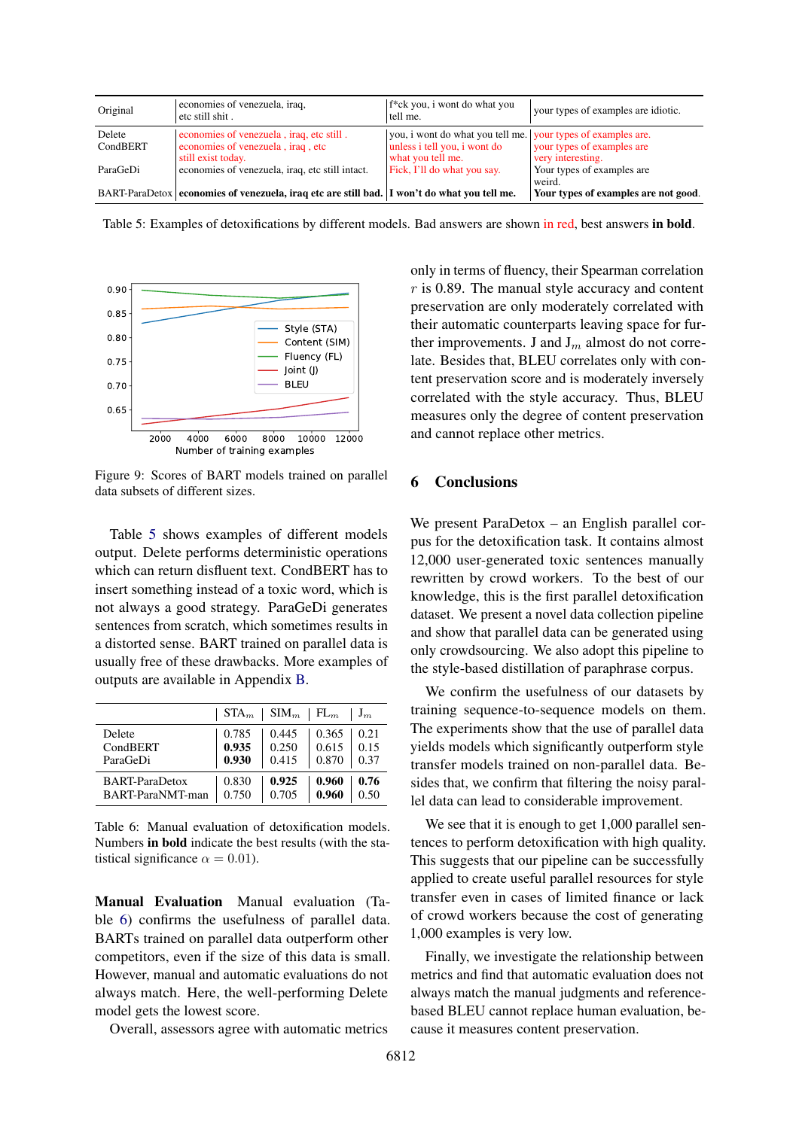<span id="page-8-1"></span>

| Original | economies of venezuela, iraq,<br>etc still shit.                                            | f <sup>*</sup> ck you, i wont do what you<br>tell me.        | your types of examples are idiotic.  |
|----------|---------------------------------------------------------------------------------------------|--------------------------------------------------------------|--------------------------------------|
| Delete   | economies of venezuela, iraq, etc still.                                                    | you, i wont do what you tell me. your types of examples are. |                                      |
| CondBERT | economies of venezuela, iraq, etc                                                           | unless i tell you, i wont do                                 | your types of examples are           |
|          | still exist today.                                                                          | what you tell me.                                            | very interesting.                    |
| ParaGeDi | economies of venezuela, iraq, etc still intact.                                             | Fick, I'll do what you say.                                  | Your types of examples are           |
|          |                                                                                             |                                                              | weird.                               |
|          | BART-ParaDetox economies of venezuela, iraq etc are still bad. I won't do what you tell me. |                                                              | Your types of examples are not good. |

Table 5: Examples of detoxifications by different models. Bad answers are shown in red, best answers in bold.

<span id="page-8-0"></span>

Figure 9: Scores of BART models trained on parallel data subsets of different sizes.

Table [5](#page-8-1) shows examples of different models output. Delete performs deterministic operations which can return disfluent text. CondBERT has to insert something instead of a toxic word, which is not always a good strategy. ParaGeDi generates sentences from scratch, which sometimes results in a distorted sense. BART trained on parallel data is usually free of these drawbacks. More examples of outputs are available in Appendix [B.](#page-13-0)

<span id="page-8-2"></span>

|                       | $STA_m$ | $SIM_m \mid FL_m$ |       | $J_m$ |
|-----------------------|---------|-------------------|-------|-------|
| Delete                | 0.785   | 0.445             | 0.365 | 0.21  |
| CondBERT              | 0.935   | 0.250             | 0.615 | 0.15  |
| ParaGeDi              | 0.930   | 0.415             | 0.870 | 0.37  |
| <b>BART-ParaDetox</b> | 0.830   | 0.925             | 0.960 | 0.76  |
| BART-ParaNMT-man      | 0.750   | 0.705             | 0.960 | 0.50  |

Table 6: Manual evaluation of detoxification models. Numbers in bold indicate the best results (with the statistical significance  $\alpha = 0.01$ ).

Manual Evaluation Manual evaluation (Table [6\)](#page-8-2) confirms the usefulness of parallel data. BARTs trained on parallel data outperform other competitors, even if the size of this data is small. However, manual and automatic evaluations do not always match. Here, the well-performing Delete model gets the lowest score.

Overall, assessors agree with automatic metrics

only in terms of fluency, their Spearman correlation  $r$  is 0.89. The manual style accuracy and content preservation are only moderately correlated with their automatic counterparts leaving space for further improvements. J and  $J_m$  almost do not correlate. Besides that, BLEU correlates only with content preservation score and is moderately inversely correlated with the style accuracy. Thus, BLEU measures only the degree of content preservation and cannot replace other metrics.

### 6 Conclusions

We present ParaDetox – an English parallel corpus for the detoxification task. It contains almost 12,000 user-generated toxic sentences manually rewritten by crowd workers. To the best of our knowledge, this is the first parallel detoxification dataset. We present a novel data collection pipeline and show that parallel data can be generated using only crowdsourcing. We also adopt this pipeline to the style-based distillation of paraphrase corpus.

We confirm the usefulness of our datasets by training sequence-to-sequence models on them. The experiments show that the use of parallel data yields models which significantly outperform style transfer models trained on non-parallel data. Besides that, we confirm that filtering the noisy parallel data can lead to considerable improvement.

We see that it is enough to get 1,000 parallel sentences to perform detoxification with high quality. This suggests that our pipeline can be successfully applied to create useful parallel resources for style transfer even in cases of limited finance or lack of crowd workers because the cost of generating 1,000 examples is very low.

Finally, we investigate the relationship between metrics and find that automatic evaluation does not always match the manual judgments and referencebased BLEU cannot replace human evaluation, because it measures content preservation.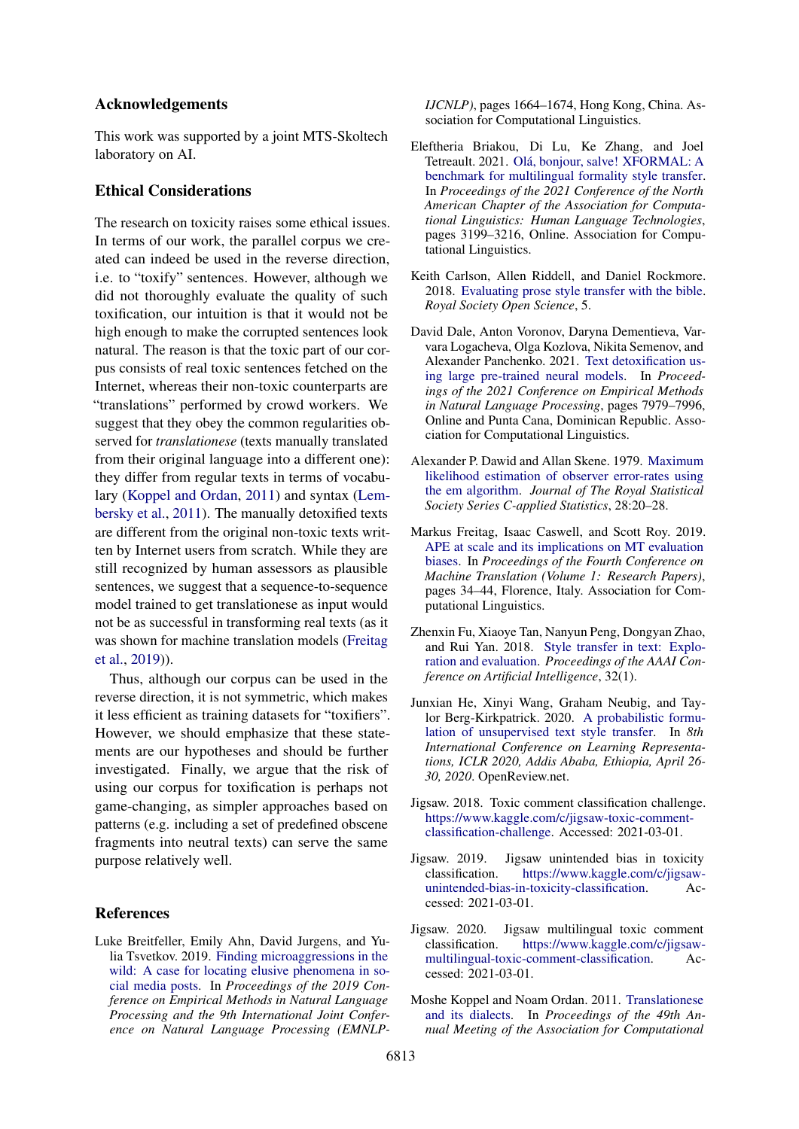### Acknowledgements

This work was supported by a joint MTS-Skoltech laboratory on AI.

### Ethical Considerations

The research on toxicity raises some ethical issues. In terms of our work, the parallel corpus we created can indeed be used in the reverse direction, i.e. to "toxify" sentences. However, although we did not thoroughly evaluate the quality of such toxification, our intuition is that it would not be high enough to make the corrupted sentences look natural. The reason is that the toxic part of our corpus consists of real toxic sentences fetched on the Internet, whereas their non-toxic counterparts are "translations" performed by crowd workers. We suggest that they obey the common regularities observed for *translationese* (texts manually translated from their original language into a different one): they differ from regular texts in terms of vocabulary [\(Koppel and Ordan,](#page-9-10) [2011\)](#page-9-10) and syntax [\(Lem](#page-10-16)[bersky et al.,](#page-10-16) [2011\)](#page-10-16). The manually detoxified texts are different from the original non-toxic texts written by Internet users from scratch. While they are still recognized by human assessors as plausible sentences, we suggest that a sequence-to-sequence model trained to get translationese as input would not be as successful in transforming real texts (as it was shown for machine translation models [\(Freitag](#page-9-11) [et al.,](#page-9-11) [2019\)](#page-9-11)).

Thus, although our corpus can be used in the reverse direction, it is not symmetric, which makes it less efficient as training datasets for "toxifiers". However, we should emphasize that these statements are our hypotheses and should be further investigated. Finally, we argue that the risk of using our corpus for toxification is perhaps not game-changing, as simpler approaches based on patterns (e.g. including a set of predefined obscene fragments into neutral texts) can serve the same purpose relatively well.

#### References

<span id="page-9-0"></span>Luke Breitfeller, Emily Ahn, David Jurgens, and Yulia Tsvetkov. 2019. [Finding microaggressions in the](https://doi.org/10.18653/v1/D19-1176) [wild: A case for locating elusive phenomena in so](https://doi.org/10.18653/v1/D19-1176)[cial media posts.](https://doi.org/10.18653/v1/D19-1176) In *Proceedings of the 2019 Conference on Empirical Methods in Natural Language Processing and the 9th International Joint Conference on Natural Language Processing (EMNLP-* *IJCNLP)*, pages 1664–1674, Hong Kong, China. Association for Computational Linguistics.

- <span id="page-9-8"></span>Eleftheria Briakou, Di Lu, Ke Zhang, and Joel Tetreault. 2021. [Olá, bonjour, salve! XFORMAL: A](https://doi.org/10.18653/v1/2021.naacl-main.256) [benchmark for multilingual formality style transfer.](https://doi.org/10.18653/v1/2021.naacl-main.256) In *Proceedings of the 2021 Conference of the North American Chapter of the Association for Computational Linguistics: Human Language Technologies*, pages 3199–3216, Online. Association for Computational Linguistics.
- <span id="page-9-1"></span>Keith Carlson, Allen Riddell, and Daniel Rockmore. 2018. [Evaluating prose style transfer with the bible.](https://arxiv.org/abs/1711.04731) *Royal Society Open Science*, 5.
- <span id="page-9-7"></span>David Dale, Anton Voronov, Daryna Dementieva, Varvara Logacheva, Olga Kozlova, Nikita Semenov, and Alexander Panchenko. 2021. [Text detoxification us](https://aclanthology.org/2021.emnlp-main.629)[ing large pre-trained neural models.](https://aclanthology.org/2021.emnlp-main.629) In *Proceedings of the 2021 Conference on Empirical Methods in Natural Language Processing*, pages 7979–7996, Online and Punta Cana, Dominican Republic. Association for Computational Linguistics.
- <span id="page-9-9"></span>Alexander P. Dawid and Allan Skene. 1979. [Maximum](https://www.jstor.org/stable/2346806) [likelihood estimation of observer error-rates using](https://www.jstor.org/stable/2346806) [the em algorithm.](https://www.jstor.org/stable/2346806) *Journal of The Royal Statistical Society Series C-applied Statistics*, 28:20–28.
- <span id="page-9-11"></span>Markus Freitag, Isaac Caswell, and Scott Roy. 2019. [APE at scale and its implications on MT evaluation](https://doi.org/10.18653/v1/W19-5204) [biases.](https://doi.org/10.18653/v1/W19-5204) In *Proceedings of the Fourth Conference on Machine Translation (Volume 1: Research Papers)*, pages 34–44, Florence, Italy. Association for Computational Linguistics.
- <span id="page-9-2"></span>Zhenxin Fu, Xiaoye Tan, Nanyun Peng, Dongyan Zhao, and Rui Yan. 2018. [Style transfer in text: Explo](https://ojs.aaai.org/index.php/AAAI/article/view/11330)[ration and evaluation.](https://ojs.aaai.org/index.php/AAAI/article/view/11330) *Proceedings of the AAAI Conference on Artificial Intelligence*, 32(1).
- <span id="page-9-3"></span>Junxian He, Xinyi Wang, Graham Neubig, and Taylor Berg-Kirkpatrick. 2020. [A probabilistic formu](https://openreview.net/forum?id=HJlA0C4tPS)[lation of unsupervised text style transfer.](https://openreview.net/forum?id=HJlA0C4tPS) In *8th International Conference on Learning Representations, ICLR 2020, Addis Ababa, Ethiopia, April 26- 30, 2020*. OpenReview.net.
- <span id="page-9-4"></span>Jigsaw. 2018. Toxic comment classification challenge. [https://www.kaggle.com/c/jigsaw-toxic-comment](https://www.kaggle.com/c/jigsaw-toxic-comment-classification-challenge)[classification-challenge.](https://www.kaggle.com/c/jigsaw-toxic-comment-classification-challenge) Accessed: 2021-03-01.
- <span id="page-9-5"></span>Jigsaw. 2019. Jigsaw unintended bias in toxicity classification. [https://www.kaggle.com/c/jigsaw](https://www.kaggle.com/c/jigsaw-unintended-bias-in-toxicity-classification)[unintended-bias-in-toxicity-classification.](https://www.kaggle.com/c/jigsaw-unintended-bias-in-toxicity-classification) Accessed: 2021-03-01.
- <span id="page-9-6"></span>Jigsaw. 2020. Jigsaw multilingual toxic comment classification. [https://www.kaggle.com/c/jigsaw](https://www.kaggle.com/c/jigsaw-multilingual-toxic-comment-classification)[multilingual-toxic-comment-classification.](https://www.kaggle.com/c/jigsaw-multilingual-toxic-comment-classification) Accessed: 2021-03-01.
- <span id="page-9-10"></span>Moshe Koppel and Noam Ordan. 2011. [Translationese](https://aclanthology.org/P11-1132) [and its dialects.](https://aclanthology.org/P11-1132) In *Proceedings of the 49th Annual Meeting of the Association for Computational*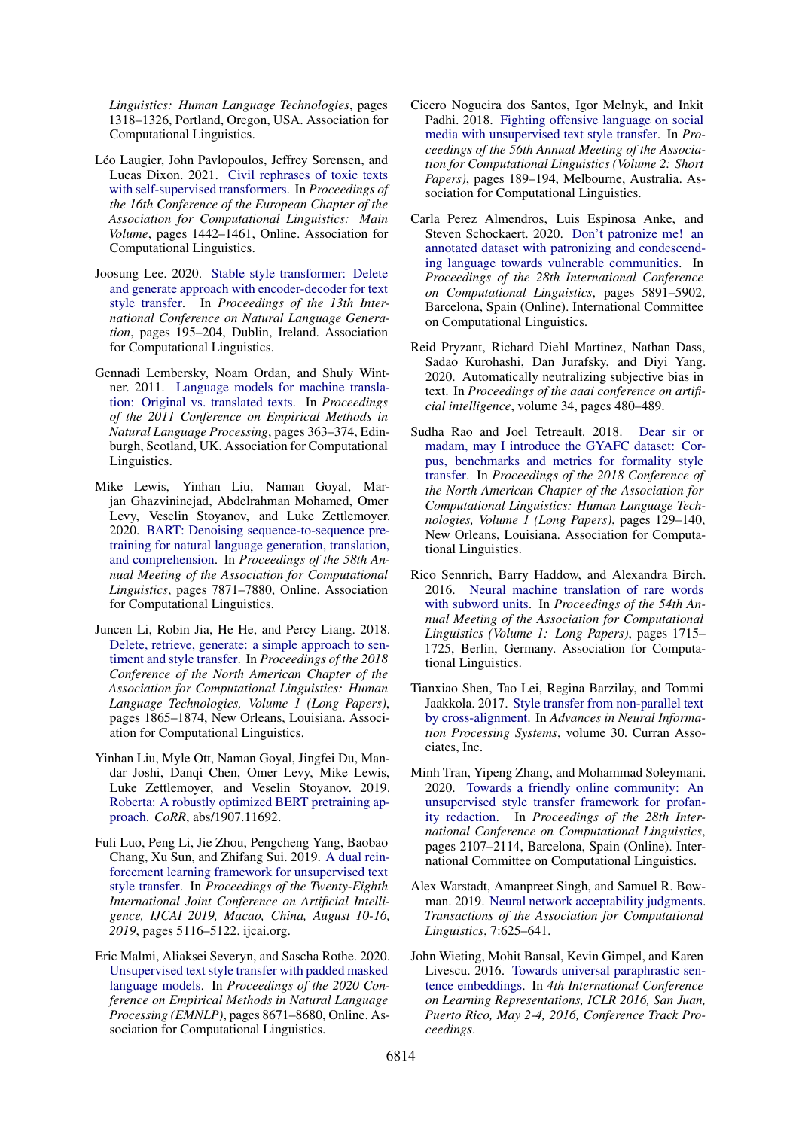*Linguistics: Human Language Technologies*, pages 1318–1326, Portland, Oregon, USA. Association for Computational Linguistics.

- <span id="page-10-10"></span>Léo Laugier, John Pavlopoulos, Jeffrey Sorensen, and Lucas Dixon. 2021. [Civil rephrases of toxic texts](https://aclanthology.org/2021.eacl-main.124) [with self-supervised transformers.](https://aclanthology.org/2021.eacl-main.124) In *Proceedings of the 16th Conference of the European Chapter of the Association for Computational Linguistics: Main Volume*, pages 1442–1461, Online. Association for Computational Linguistics.
- <span id="page-10-9"></span>Joosung Lee. 2020. [Stable style transformer: Delete](https://aclanthology.org/2020.inlg-1.25) [and generate approach with encoder-decoder for text](https://aclanthology.org/2020.inlg-1.25) [style transfer.](https://aclanthology.org/2020.inlg-1.25) In *Proceedings of the 13th International Conference on Natural Language Generation*, pages 195–204, Dublin, Ireland. Association for Computational Linguistics.
- <span id="page-10-16"></span>Gennadi Lembersky, Noam Ordan, and Shuly Wintner. 2011. [Language models for machine transla](https://aclanthology.org/D11-1034)[tion: Original vs. translated texts.](https://aclanthology.org/D11-1034) In *Proceedings of the 2011 Conference on Empirical Methods in Natural Language Processing*, pages 363–374, Edinburgh, Scotland, UK. Association for Computational Linguistics.
- <span id="page-10-11"></span>Mike Lewis, Yinhan Liu, Naman Goyal, Marjan Ghazvininejad, Abdelrahman Mohamed, Omer Levy, Veselin Stoyanov, and Luke Zettlemoyer. 2020. [BART: Denoising sequence-to-sequence pre](https://doi.org/10.18653/v1/2020.acl-main.703)[training for natural language generation, translation,](https://doi.org/10.18653/v1/2020.acl-main.703) [and comprehension.](https://doi.org/10.18653/v1/2020.acl-main.703) In *Proceedings of the 58th Annual Meeting of the Association for Computational Linguistics*, pages 7871–7880, Online. Association for Computational Linguistics.
- <span id="page-10-4"></span>Juncen Li, Robin Jia, He He, and Percy Liang. 2018. [Delete, retrieve, generate: a simple approach to sen](https://doi.org/10.18653/v1/N18-1169)[timent and style transfer.](https://doi.org/10.18653/v1/N18-1169) In *Proceedings of the 2018 Conference of the North American Chapter of the Association for Computational Linguistics: Human Language Technologies, Volume 1 (Long Papers)*, pages 1865–1874, New Orleans, Louisiana. Association for Computational Linguistics.
- <span id="page-10-12"></span>Yinhan Liu, Myle Ott, Naman Goyal, Jingfei Du, Mandar Joshi, Danqi Chen, Omer Levy, Mike Lewis, Luke Zettlemoyer, and Veselin Stoyanov. 2019. [Roberta: A robustly optimized BERT pretraining ap](http://arxiv.org/abs/1907.11692)[proach.](http://arxiv.org/abs/1907.11692) *CoRR*, abs/1907.11692.
- <span id="page-10-8"></span>Fuli Luo, Peng Li, Jie Zhou, Pengcheng Yang, Baobao Chang, Xu Sun, and Zhifang Sui. 2019. [A dual rein](https://doi.org/10.24963/ijcai.2019/711)[forcement learning framework for unsupervised text](https://doi.org/10.24963/ijcai.2019/711) [style transfer.](https://doi.org/10.24963/ijcai.2019/711) In *Proceedings of the Twenty-Eighth International Joint Conference on Artificial Intelligence, IJCAI 2019, Macao, China, August 10-16, 2019*, pages 5116–5122. ijcai.org.
- <span id="page-10-6"></span>Eric Malmi, Aliaksei Severyn, and Sascha Rothe. 2020. [Unsupervised text style transfer with padded masked](https://doi.org/10.18653/v1/2020.emnlp-main.699) [language models.](https://doi.org/10.18653/v1/2020.emnlp-main.699) In *Proceedings of the 2020 Conference on Empirical Methods in Natural Language Processing (EMNLP)*, pages 8671–8680, Online. Association for Computational Linguistics.
- <span id="page-10-1"></span>Cicero Nogueira dos Santos, Igor Melnyk, and Inkit Padhi. 2018. [Fighting offensive language on social](https://doi.org/10.18653/v1/P18-2031) [media with unsupervised text style transfer.](https://doi.org/10.18653/v1/P18-2031) In *Proceedings of the 56th Annual Meeting of the Association for Computational Linguistics (Volume 2: Short Papers)*, pages 189–194, Melbourne, Australia. Association for Computational Linguistics.
- <span id="page-10-0"></span>Carla Perez Almendros, Luis Espinosa Anke, and Steven Schockaert. 2020. [Don't patronize me! an](https://doi.org/10.18653/v1/2020.coling-main.518) [annotated dataset with patronizing and condescend](https://doi.org/10.18653/v1/2020.coling-main.518)[ing language towards vulnerable communities.](https://doi.org/10.18653/v1/2020.coling-main.518) In *Proceedings of the 28th International Conference on Computational Linguistics*, pages 5891–5902, Barcelona, Spain (Online). International Committee on Computational Linguistics.
- <span id="page-10-3"></span>Reid Pryzant, Richard Diehl Martinez, Nathan Dass, Sadao Kurohashi, Dan Jurafsky, and Diyi Yang. 2020. Automatically neutralizing subjective bias in text. In *Proceedings of the aaai conference on artificial intelligence*, volume 34, pages 480–489.
- <span id="page-10-5"></span>Sudha Rao and Joel Tetreault. 2018. [Dear sir or](https://doi.org/10.18653/v1/N18-1012) [madam, may I introduce the GYAFC dataset: Cor](https://doi.org/10.18653/v1/N18-1012)[pus, benchmarks and metrics for formality style](https://doi.org/10.18653/v1/N18-1012) [transfer.](https://doi.org/10.18653/v1/N18-1012) In *Proceedings of the 2018 Conference of the North American Chapter of the Association for Computational Linguistics: Human Language Technologies, Volume 1 (Long Papers)*, pages 129–140, New Orleans, Louisiana. Association for Computational Linguistics.
- <span id="page-10-14"></span>Rico Sennrich, Barry Haddow, and Alexandra Birch. 2016. [Neural machine translation of rare words](https://doi.org/10.18653/v1/P16-1162) [with subword units.](https://doi.org/10.18653/v1/P16-1162) In *Proceedings of the 54th Annual Meeting of the Association for Computational Linguistics (Volume 1: Long Papers)*, pages 1715– 1725, Berlin, Germany. Association for Computational Linguistics.
- <span id="page-10-7"></span>Tianxiao Shen, Tao Lei, Regina Barzilay, and Tommi Jaakkola. 2017. [Style transfer from non-parallel text](https://proceedings.neurips.cc/paper/2017/file/2d2c8394e31101a261abf1784302bf75-Paper.pdf) [by cross-alignment.](https://proceedings.neurips.cc/paper/2017/file/2d2c8394e31101a261abf1784302bf75-Paper.pdf) In *Advances in Neural Information Processing Systems*, volume 30. Curran Associates, Inc.
- <span id="page-10-2"></span>Minh Tran, Yipeng Zhang, and Mohammad Soleymani. 2020. [Towards a friendly online community: An](https://doi.org/10.18653/v1/2020.coling-main.190) [unsupervised style transfer framework for profan](https://doi.org/10.18653/v1/2020.coling-main.190)[ity redaction.](https://doi.org/10.18653/v1/2020.coling-main.190) In *Proceedings of the 28th International Conference on Computational Linguistics*, pages 2107–2114, Barcelona, Spain (Online). International Committee on Computational Linguistics.
- <span id="page-10-15"></span>Alex Warstadt, Amanpreet Singh, and Samuel R. Bowman. 2019. [Neural network acceptability judgments.](https://doi.org/10.1162/tacl_a_00290) *Transactions of the Association for Computational Linguistics*, 7:625–641.
- <span id="page-10-13"></span>John Wieting, Mohit Bansal, Kevin Gimpel, and Karen Livescu. 2016. [Towards universal paraphrastic sen](http://arxiv.org/abs/1511.08198)[tence embeddings.](http://arxiv.org/abs/1511.08198) In *4th International Conference on Learning Representations, ICLR 2016, San Juan, Puerto Rico, May 2-4, 2016, Conference Track Proceedings*.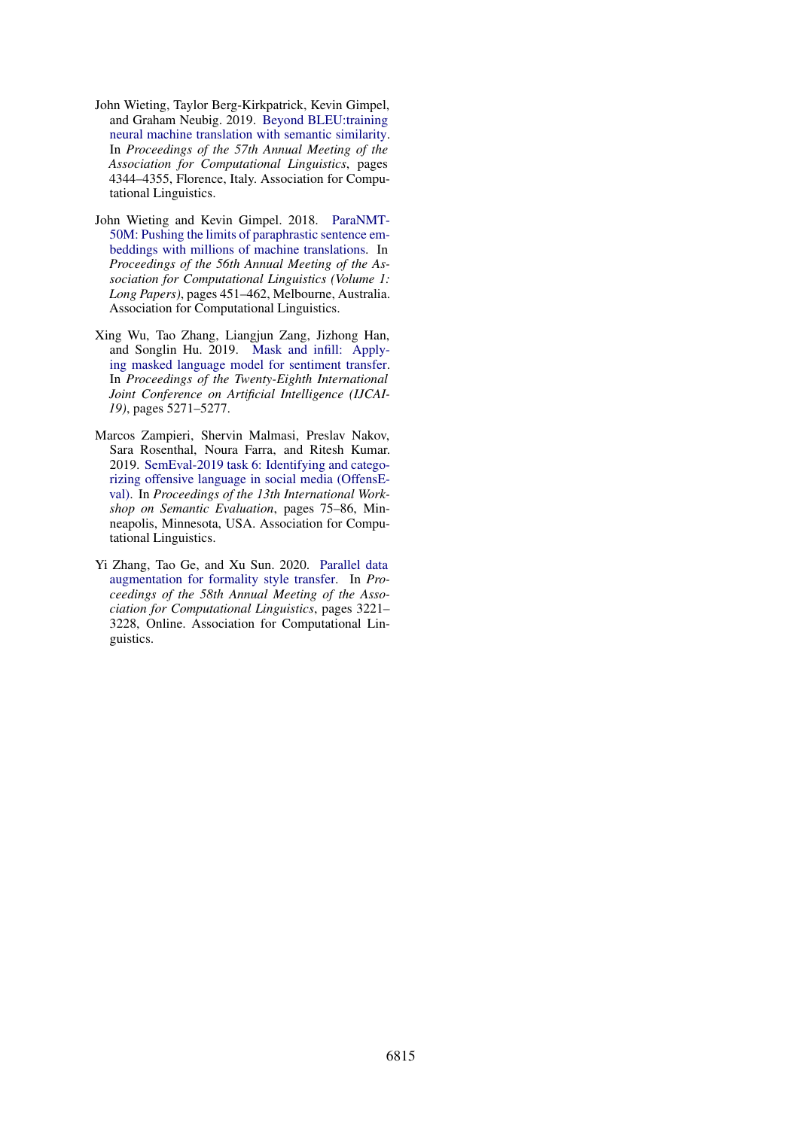- <span id="page-11-4"></span>John Wieting, Taylor Berg-Kirkpatrick, Kevin Gimpel, and Graham Neubig. 2019. [Beyond BLEU:training](https://doi.org/10.18653/v1/P19-1427) [neural machine translation with semantic similarity.](https://doi.org/10.18653/v1/P19-1427) In *Proceedings of the 57th Annual Meeting of the Association for Computational Linguistics*, pages 4344–4355, Florence, Italy. Association for Computational Linguistics.
- <span id="page-11-1"></span>John Wieting and Kevin Gimpel. 2018. [ParaNMT-](https://doi.org/10.18653/v1/P18-1042)[50M: Pushing the limits of paraphrastic sentence em](https://doi.org/10.18653/v1/P18-1042)[beddings with millions of machine translations.](https://doi.org/10.18653/v1/P18-1042) In *Proceedings of the 56th Annual Meeting of the Association for Computational Linguistics (Volume 1: Long Papers)*, pages 451–462, Melbourne, Australia. Association for Computational Linguistics.
- <span id="page-11-2"></span>Xing Wu, Tao Zhang, Liangjun Zang, Jizhong Han, and Songlin Hu. 2019. [Mask and infill: Apply](https://doi.org/10.24963/ijcai.2019/732)[ing masked language model for sentiment transfer.](https://doi.org/10.24963/ijcai.2019/732) In *Proceedings of the Twenty-Eighth International Joint Conference on Artificial Intelligence (IJCAI-19)*, pages 5271–5277.
- <span id="page-11-0"></span>Marcos Zampieri, Shervin Malmasi, Preslav Nakov, Sara Rosenthal, Noura Farra, and Ritesh Kumar. 2019. [SemEval-2019 task 6: Identifying and catego](https://doi.org/10.18653/v1/S19-2010)[rizing offensive language in social media \(OffensE](https://doi.org/10.18653/v1/S19-2010)[val\).](https://doi.org/10.18653/v1/S19-2010) In *Proceedings of the 13th International Workshop on Semantic Evaluation*, pages 75–86, Minneapolis, Minnesota, USA. Association for Computational Linguistics.
- <span id="page-11-3"></span>Yi Zhang, Tao Ge, and Xu Sun. 2020. [Parallel data](https://doi.org/10.18653/v1/2020.acl-main.294) [augmentation for formality style transfer.](https://doi.org/10.18653/v1/2020.acl-main.294) In *Proceedings of the 58th Annual Meeting of the Association for Computational Linguistics*, pages 3221– 3228, Online. Association for Computational Linguistics.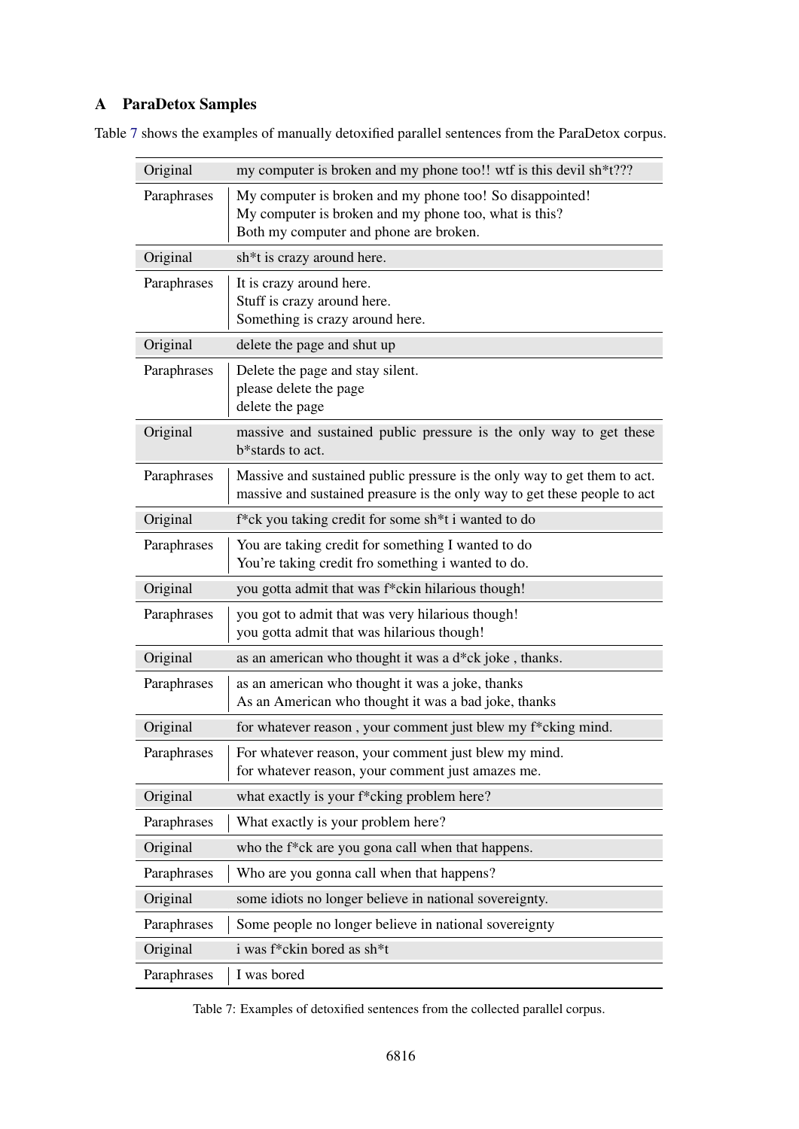# <span id="page-12-0"></span>A ParaDetox Samples

| Original    | my computer is broken and my phone too!! wtf is this devil sh*t???                                                                                          |
|-------------|-------------------------------------------------------------------------------------------------------------------------------------------------------------|
| Paraphrases | My computer is broken and my phone too! So disappointed!<br>My computer is broken and my phone too, what is this?<br>Both my computer and phone are broken. |
| Original    | sh <sup>*</sup> t is crazy around here.                                                                                                                     |
| Paraphrases | It is crazy around here.<br>Stuff is crazy around here.<br>Something is crazy around here.                                                                  |
| Original    | delete the page and shut up                                                                                                                                 |
| Paraphrases | Delete the page and stay silent.<br>please delete the page<br>delete the page                                                                               |
| Original    | massive and sustained public pressure is the only way to get these<br>b*stards to act.                                                                      |
| Paraphrases | Massive and sustained public pressure is the only way to get them to act.<br>massive and sustained preasure is the only way to get these people to act      |
| Original    | f*ck you taking credit for some sh*t i wanted to do                                                                                                         |
| Paraphrases | You are taking credit for something I wanted to do<br>You're taking credit fro something i wanted to do.                                                    |
| Original    | you gotta admit that was f*ckin hilarious though!                                                                                                           |
| Paraphrases | you got to admit that was very hilarious though!<br>you gotta admit that was hilarious though!                                                              |
| Original    | as an american who thought it was a d*ck joke, thanks.                                                                                                      |
| Paraphrases | as an american who thought it was a joke, thanks<br>As an American who thought it was a bad joke, thanks                                                    |
| Original    | for whatever reason, your comment just blew my f*cking mind.                                                                                                |
| Paraphrases | For whatever reason, your comment just blew my mind.<br>for whatever reason, your comment just amazes me.                                                   |
| Original    | what exactly is your f*cking problem here?                                                                                                                  |
| Paraphrases | What exactly is your problem here?                                                                                                                          |
| Original    | who the f*ck are you gona call when that happens.                                                                                                           |
| Paraphrases | Who are you gonna call when that happens?                                                                                                                   |
| Original    | some idiots no longer believe in national sovereignty.                                                                                                      |
| Paraphrases | Some people no longer believe in national sovereignty                                                                                                       |
| Original    | i was f*ckin bored as sh*t                                                                                                                                  |
| Paraphrases | I was bored                                                                                                                                                 |

<span id="page-12-1"></span>Table [7](#page-12-1) shows the examples of manually detoxified parallel sentences from the ParaDetox corpus.

Table 7: Examples of detoxified sentences from the collected parallel corpus.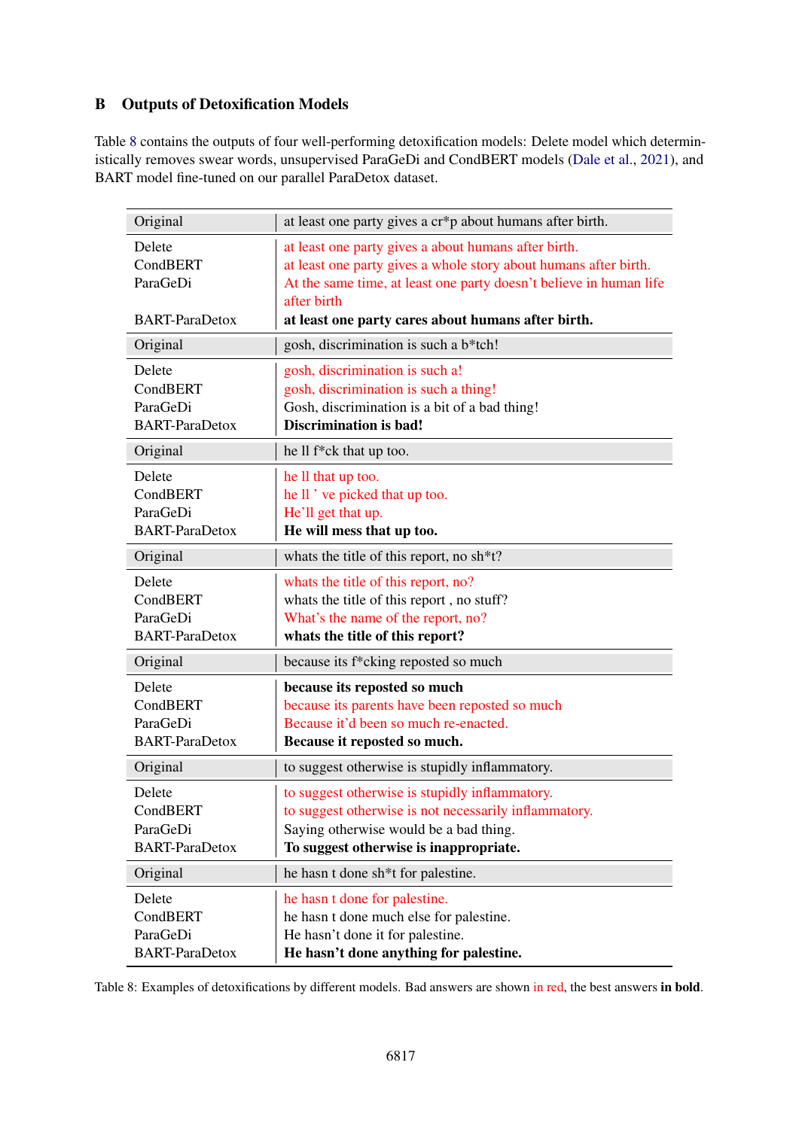# <span id="page-13-0"></span>B Outputs of Detoxification Models

Table [8](#page-13-1) contains the outputs of four well-performing detoxification models: Delete model which determin-istically removes swear words, unsupervised ParaGeDi and CondBERT models [\(Dale et al.,](#page-9-7) [2021\)](#page-9-7), and BART model fine-tuned on our parallel ParaDetox dataset.

<span id="page-13-1"></span>

| Original                                                | at least one party gives a cr*p about humans after birth.                                                                                                                                                                                                           |
|---------------------------------------------------------|---------------------------------------------------------------------------------------------------------------------------------------------------------------------------------------------------------------------------------------------------------------------|
| Delete<br>CondBERT<br>ParaGeDi<br><b>BART-ParaDetox</b> | at least one party gives a about humans after birth.<br>at least one party gives a whole story about humans after birth.<br>At the same time, at least one party doesn't believe in human life<br>after birth<br>at least one party cares about humans after birth. |
| Original                                                | gosh, discrimination is such a b*tch!                                                                                                                                                                                                                               |
| Delete<br>CondBERT<br>ParaGeDi<br><b>BART-ParaDetox</b> | gosh, discrimination is such a!<br>gosh, discrimination is such a thing!<br>Gosh, discrimination is a bit of a bad thing!<br><b>Discrimination is bad!</b>                                                                                                          |
| Original                                                | he ll f*ck that up too.                                                                                                                                                                                                                                             |
| Delete<br>CondBERT<br>ParaGeDi<br><b>BART-ParaDetox</b> | he ll that up too.<br>he ll ' ve picked that up too.<br>He'll get that up.<br>He will mess that up too.                                                                                                                                                             |
| Original                                                | whats the title of this report, no sh*t?                                                                                                                                                                                                                            |
| Delete<br>CondBERT<br>ParaGeDi<br><b>BART-ParaDetox</b> | whats the title of this report, no?<br>whats the title of this report, no stuff?<br>What's the name of the report, no?<br>whats the title of this report?                                                                                                           |
| Original                                                | because its f*cking reposted so much                                                                                                                                                                                                                                |
| Delete<br>CondBERT<br>ParaGeDi<br><b>BART-ParaDetox</b> | because its reposted so much<br>because its parents have been reposted so much<br>Because it'd been so much re-enacted.<br>Because it reposted so much.                                                                                                             |
| Original                                                | to suggest otherwise is stupidly inflammatory.                                                                                                                                                                                                                      |
| Delete<br>CondBERT<br>ParaGeDi<br><b>BART-ParaDetox</b> | to suggest otherwise is stupidly inflammatory.<br>to suggest otherwise is not necessarily inflammatory.<br>Saying otherwise would be a bad thing.<br>To suggest otherwise is inappropriate.                                                                         |
| Original                                                | he hasn t done sh <sup>*</sup> t for palestine.                                                                                                                                                                                                                     |
| Delete<br>CondBERT<br>ParaGeDi<br><b>BART-ParaDetox</b> | he hasn t done for palestine.<br>he hasn t done much else for palestine.<br>He hasn't done it for palestine.<br>He hasn't done anything for palestine.                                                                                                              |

Table 8: Examples of detoxifications by different models. Bad answers are shown in red, the best answers in bold.